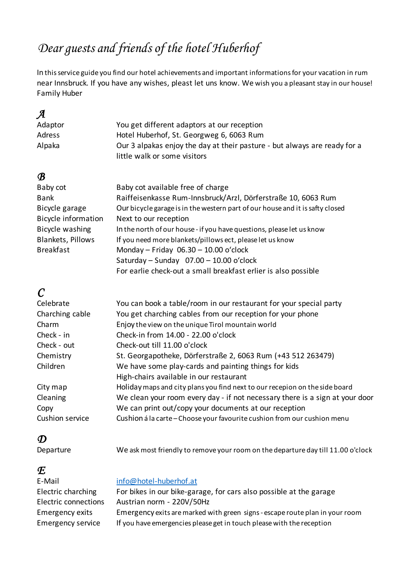## *Dear guests and friends of the hotel Huberhof*

In thisservice guide you find our hotel achievements and important informations for your vacation in rum near Innsbruck. If you have any wishes, pleast let uns know. We wish you a pleasant stay in our house! Family Huber

### *A*

| Adaptor | You get different adaptors at our reception                                                               |
|---------|-----------------------------------------------------------------------------------------------------------|
| Adress  | Hotel Huberhof, St. Georgweg 6, 6063 Rum                                                                  |
| Alpaka  | Our 3 alpakas enjoy the day at their pasture - but always are ready for a<br>little walk or some visitors |

### *B*

| Baby cot                   | Baby cot available free of charge                                             |
|----------------------------|-------------------------------------------------------------------------------|
| <b>Bank</b>                | Raiffeisenkasse Rum-Innsbruck/Arzl, Dörferstraße 10, 6063 Rum                 |
| Bicycle garage             | Our bicycle garage is in the western part of our house and it is safty closed |
| <b>Bicycle information</b> | Next to our reception                                                         |
| Bicycle washing            | In the north of our house - if you have questions, please let us know         |
| <b>Blankets, Pillows</b>   | If you need more blankets/pillows ect, please let us know                     |
| <b>Breakfast</b>           | Monday - Friday $06.30 - 10.00$ o'clock                                       |
|                            | Saturday - Sunday $07.00 - 10.00$ o'clock                                     |
|                            | For earlie check-out a small breakfast erlier is also possible                |

### *C*

| Celebrate       | You can book a table/room in our restaurant for your special party           |
|-----------------|------------------------------------------------------------------------------|
| Charching cable | You get charching cables from our reception for your phone                   |
| Charm           | Enjoy the view on the unique Tirol mountain world                            |
| Check - in      | Check-in from 14.00 - 22.00 o'clock                                          |
| Check - out     | Check-out till 11.00 o'clock                                                 |
| Chemistry       | St. Georgapotheke, Dörferstraße 2, 6063 Rum (+43 512 263479)                 |
| Children        | We have some play-cards and painting things for kids                         |
|                 | High-chairs available in our restaurant                                      |
| City map        | Holiday maps and city plans you find next to our recepion on the side board  |
| Cleaning        | We clean your room every day - if not necessary there is a sign at your door |
| Copy            | We can print out/copy your documents at our reception                        |
| Cushion service | Cushion á la carte - Choose your favourite cushion from our cushion menu     |

*D*

We ask most friendly to remove your room on the departure day till 11.00 o'clock

*E*<br>E-Mail info@hotel-huberhof.at Electric charching For bikes in our bike-garage, for cars also possible at the garage Electric connections Austrian norm - 220V/50Hz Emergency exits Emergency exits aremarked with green signs - escape route plan in your room Emergency service If you have emergencies please get in touch please with the reception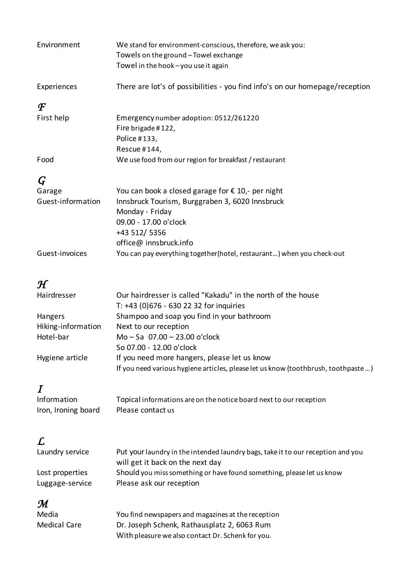| Environment                        | We stand for environment-conscious, therefore, we ask you:<br>Towels on the ground - Towel exchange<br>Towel in the hook - you use it again                                                         |
|------------------------------------|-----------------------------------------------------------------------------------------------------------------------------------------------------------------------------------------------------|
| Experiences                        | There are lot's of possibilities - you find info's on our homepage/reception                                                                                                                        |
| $\bm{\mathcal{F}}$                 |                                                                                                                                                                                                     |
| First help                         | Emergency number adoption: 0512/261220<br>Fire brigade #122,<br>Police #133,<br>Rescue #144,                                                                                                        |
| Food                               | We use food from our region for breakfast / restaurant                                                                                                                                              |
| $\bm{G}$                           |                                                                                                                                                                                                     |
| Garage<br>Guest-information        | You can book a closed garage for $\epsilon$ 10,- per night<br>Innsbruck Tourism, Burggraben 3, 6020 Innsbruck<br>Monday - Friday<br>09.00 - 17.00 o'clock<br>+43 512/ 5356<br>office@innsbruck.info |
| Guest-invoices                     | You can pay everything together(hotel, restaurant) when you check-out                                                                                                                               |
|                                    |                                                                                                                                                                                                     |
| $\mathcal H$<br>Hairdresser        | Our hairdresser is called "Kakadu" in the north of the house<br>T: +43 (0)676 - 630 22 32 for inquiries                                                                                             |
| Hangers                            | Shampoo and soap you find in your bathroom                                                                                                                                                          |
| Hiking-information<br>Hotel-bar    | Next to our reception<br>Mo - Sa 07.00 - 23.00 o'clock<br>So 07.00 - 12.00 o'clock                                                                                                                  |
| Hygiene article                    | If you need more hangers, please let us know<br>If you need various hygiene articles, please let us know (toothbrush, toothpaste )                                                                  |
| $\bm{I}$                           |                                                                                                                                                                                                     |
| Information<br>Iron, Ironing board | Topical informations are on the notice board next to our reception<br>Please contact us                                                                                                             |
| L                                  |                                                                                                                                                                                                     |
| Laundry service                    | Put your laundry in the intended laundry bags, take it to our reception and you<br>will get it back on the next day                                                                                 |
| Lost properties<br>Luggage-service | Should you miss something or have found something, please let us know<br>Please ask our reception                                                                                                   |
| M<br>Media<br><b>Medical Care</b>  | You find newspapers and magazines at the reception<br>Dr. Joseph Schenk, Rathausplatz 2, 6063 Rum<br>With pleasure we also contact Dr. Schenk for you.                                              |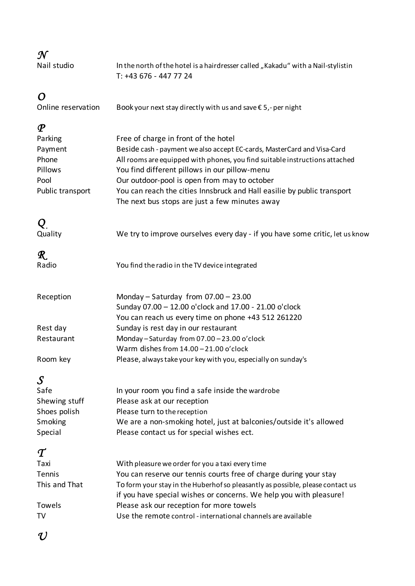| ٠       |  |
|---------|--|
| ï<br>۰. |  |

**Nail studio** 

In the north of the hotel is a hairdresser called "Kakadu" with a Nail-stylistin T: +43 676 - 447 77 24

*O* Book your next stay directly with us and save  $\epsilon$  5,- per night

### *P*

| Parking          | Free of charge in front of the hotel                                        |
|------------------|-----------------------------------------------------------------------------|
| Payment          | Beside cash - payment we also accept EC-cards, MasterCard and Visa-Card     |
| Phone            | All rooms are equipped with phones, you find suitable instructions attached |
| Pillows          | You find different pillows in our pillow-menu                               |
| Pool             | Our outdoor-pool is open from may to october                                |
| Public transport | You can reach the cities Innsbruck and Hall easilie by public transport     |
|                  | The next bus stops are just a few minutes away                              |

*Q* We try to improve ourselves every day - if you have some critic, let us know

# *R*

| $\pmb{\mathcal{R}}$ . |                                                |
|-----------------------|------------------------------------------------|
| adio?                 | You find the radio in the TV device integrated |

| Reception  | Monday – Saturday from $07.00 - 23.00$                        |
|------------|---------------------------------------------------------------|
|            | Sunday 07.00 - 12.00 o'clock and 17.00 - 21.00 o'clock        |
|            | You can reach us every time on phone +43 512 261220           |
| Rest day   | Sunday is rest day in our restaurant                          |
| Restaurant | Monday-Saturday from 07.00-23.00 o'clock                      |
|            | Warm dishes from $14.00 - 21.00$ o'clock                      |
| Room key   | Please, always take your key with you, especially on sunday's |

### *S*

| Safe           | In your room you find a safe inside the wardrobe                   |
|----------------|--------------------------------------------------------------------|
| Shewing stuff  | Please ask at our reception                                        |
| Shoes polish   | Please turn to the reception                                       |
| <b>Smoking</b> | We are a non-smoking hotel, just at balconies/outside it's allowed |
| Special        | Please contact us for special wishes ect.                          |
|                |                                                                    |

### *T*

| Taxi          | With pleasure we order for you a taxi every time                               |
|---------------|--------------------------------------------------------------------------------|
| Tennis        | You can reserve our tennis courts free of charge during your stay              |
| This and That | To form your stay in the Huberhof so pleasantly as possible, please contact us |
|               | if you have special wishes or concerns. We help you with pleasure!             |
| Towels        | Please ask our reception for more towels                                       |
| TV            | Use the remote control - international channels are available                  |